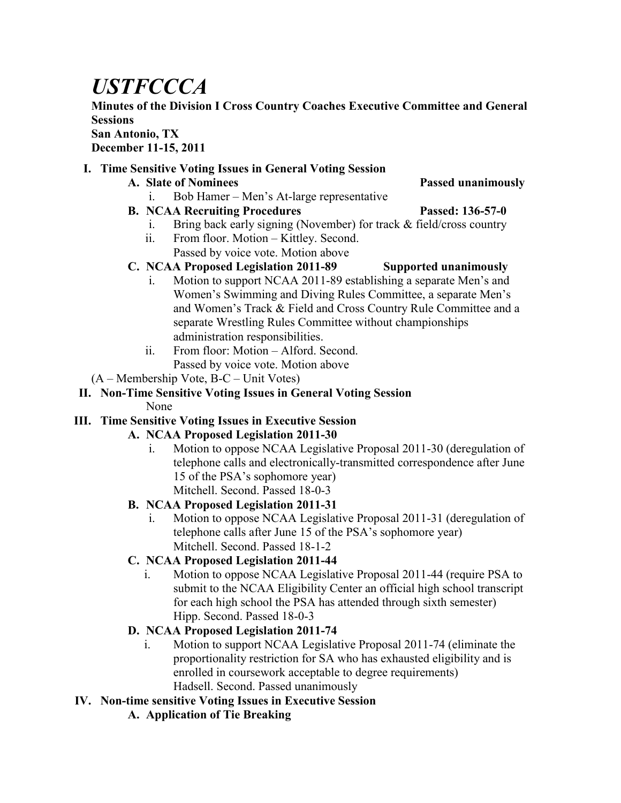# *USTFCCCA*

### **Minutes of the Division I Cross Country Coaches Executive Committee and General Sessions**

#### **San Antonio, TX December 11-15, 2011**

#### **I. Time Sensitive Voting Issues in General Voting Session**

**A. Slate of Nominees Passed unanimously**

- i. Bob Hamer Men's At-large representative
- **B. NCAA Recruiting Procedures Passed: 136-57-0**

- i. Bring back early signing (November) for track & field/cross country
- ii. From floor. Motion Kittley. Second. Passed by voice vote. Motion above
- **C. NCAA Proposed Legislation 2011-89 Supported unanimously**
	- i. Motion to support NCAA 2011-89 establishing a separate Men's and Women's Swimming and Diving Rules Committee, a separate Men's and Women's Track & Field and Cross Country Rule Committee and a separate Wrestling Rules Committee without championships administration responsibilities.
	- ii. From floor: Motion Alford. Second. Passed by voice vote. Motion above
- (A Membership Vote, B-C Unit Votes)

## **II. Non-Time Sensitive Voting Issues in General Voting Session**

None

#### **III. Time Sensitive Voting Issues in Executive Session**

#### **A. NCAA Proposed Legislation 2011-30**

i. Motion to oppose NCAA Legislative Proposal 2011-30 (deregulation of telephone calls and electronically-transmitted correspondence after June 15 of the PSA's sophomore year) Mitchell. Second. Passed 18-0-3

#### **B. NCAA Proposed Legislation 2011-31**

i. Motion to oppose NCAA Legislative Proposal 2011-31 (deregulation of telephone calls after June 15 of the PSA's sophomore year) Mitchell. Second. Passed 18-1-2

#### **C. NCAA Proposed Legislation 2011-44**

i. Motion to oppose NCAA Legislative Proposal 2011-44 (require PSA to submit to the NCAA Eligibility Center an official high school transcript for each high school the PSA has attended through sixth semester) Hipp. Second. Passed 18-0-3

#### **D. NCAA Proposed Legislation 2011-74**

i. Motion to support NCAA Legislative Proposal 2011-74 (eliminate the proportionality restriction for SA who has exhausted eligibility and is enrolled in coursework acceptable to degree requirements) Hadsell. Second. Passed unanimously

#### **IV. Non-time sensitive Voting Issues in Executive Session**

**A. Application of Tie Breaking**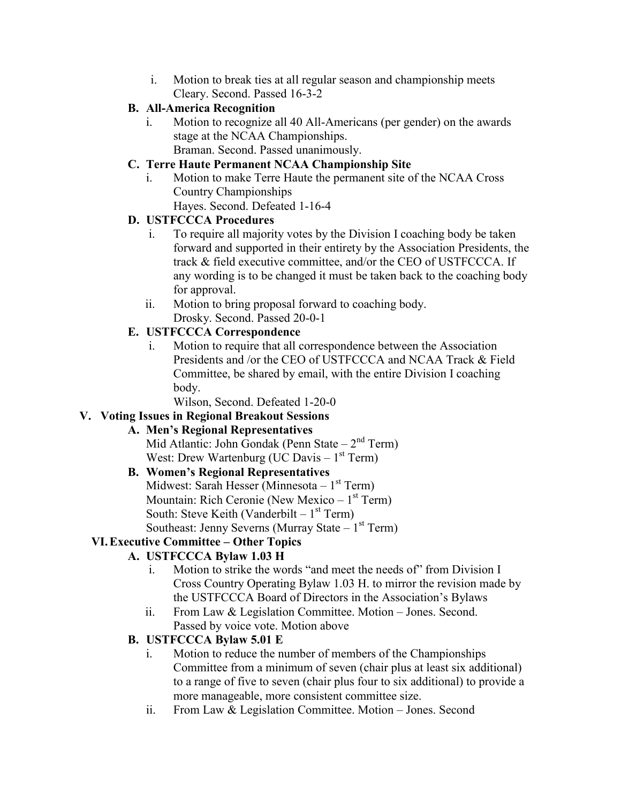i. Motion to break ties at all regular season and championship meets Cleary. Second. Passed 16-3-2

#### **B. All-America Recognition**

i. Motion to recognize all 40 All-Americans (per gender) on the awards stage at the NCAA Championships. Braman. Second. Passed unanimously.

#### **C. Terre Haute Permanent NCAA Championship Site**

i. Motion to make Terre Haute the permanent site of the NCAA Cross Country Championships Hayes. Second. Defeated 1-16-4

#### **D. USTFCCCA Procedures**

- i. To require all majority votes by the Division I coaching body be taken forward and supported in their entirety by the Association Presidents, the track & field executive committee, and/or the CEO of USTFCCCA. If any wording is to be changed it must be taken back to the coaching body for approval.
- ii. Motion to bring proposal forward to coaching body. Drosky. Second. Passed 20-0-1

#### **E. USTFCCCA Correspondence**

i. Motion to require that all correspondence between the Association Presidents and /or the CEO of USTFCCCA and NCAA Track & Field Committee, be shared by email, with the entire Division I coaching body.

Wilson, Second. Defeated 1-20-0

#### **V. Voting Issues in Regional Breakout Sessions**

#### **A. Men's Regional Representatives**

Mid Atlantic: John Gondak (Penn State  $-2<sup>nd</sup>$  Term) West: Drew Wartenburg (UC Davis  $-1$ <sup>st</sup> Term)

#### **B. Women's Regional Representatives**

Midwest: Sarah Hesser (Minnesota – 1<sup>st</sup> Term) Mountain: Rich Ceronie (New Mexico – 1<sup>st</sup> Term) South: Steve Keith (Vanderbilt  $-1<sup>st</sup>$  Term) Southeast: Jenny Severns (Murray State  $-1<sup>st</sup>$  Term)

#### **VI.Executive Committee – Other Topics**

#### **A. USTFCCCA Bylaw 1.03 H**

- i. Motion to strike the words "and meet the needs of" from Division I Cross Country Operating Bylaw 1.03 H. to mirror the revision made by the USTFCCCA Board of Directors in the Association's Bylaws
- ii. From Law & Legislation Committee. Motion Jones. Second. Passed by voice vote. Motion above

#### **B. USTFCCCA Bylaw 5.01 E**

- i. Motion to reduce the number of members of the Championships Committee from a minimum of seven (chair plus at least six additional) to a range of five to seven (chair plus four to six additional) to provide a more manageable, more consistent committee size.
- ii. From Law & Legislation Committee. Motion Jones. Second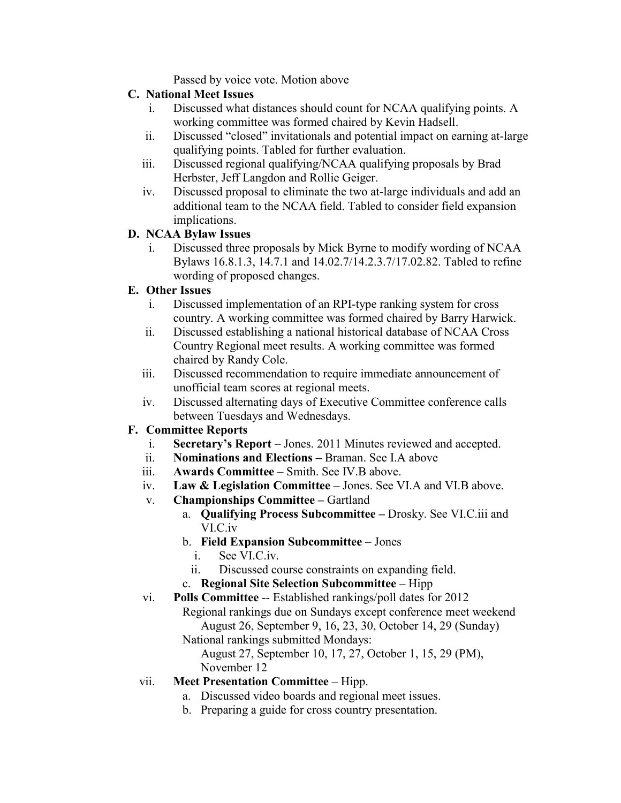Passed by voice vote. Motion above

#### **C. National Meet Issues**

- i. Discussed what distances should count for NCAA qualifying points. A working committee was formed chaired by Kevin Hadsell.
- ii. Discussed "closed" invitationals and potential impact on earning at-large qualifying points. Tabled for further evaluation.
- iii. Discussed regional qualifying/NCAA qualifying proposals by Brad Herbster, Jeff Langdon and Rollie Geiger.
- iv. Discussed proposal to eliminate the two at-large individuals and add an additional team to the NCAA field. Tabled to consider field expansion implications.

#### **D. NCAA Bylaw Issues**

i. Discussed three proposals by Mick Byrne to modify wording of NCAA Bylaws 16.8.1.3, 14.7.1 and 14.02.7/14.2.3.7/17.02.82. Tabled to refine wording of proposed changes.

#### **E. Other Issues**

- i. Discussed implementation of an RPI-type ranking system for cross country. A working committee was formed chaired by Barry Harwick.
- ii. Discussed establishing a national historical database of NCAA Cross Country Regional meet results. A working committee was formed chaired by Randy Cole.
- iii. Discussed recommendation to require immediate announcement of unofficial team scores at regional meets.
- iv. Discussed alternating days of Executive Committee conference calls between Tuesdays and Wednesdays.

#### **F. Committee Reports**

- i. **Secretary's Report** Jones. 2011 Minutes reviewed and accepted.
- ii. **Nominations and Elections –** Braman. See I.A above
- iii. **Awards Committee** Smith. See IV.B above.
- iv. **Law & Legislation Committee**  Jones. See VI.A and VI.B above.
- v. **Championships Committee –** Gartland
	- a. **Qualifying Process Subcommittee –** Drosky. See VI.C.iii and VI.C.iv
		- b. **Field Expansion Subcommittee** Jones
			- i. See VI.C.iv.
			- ii. Discussed course constraints on expanding field.
		- c. **Regional Site Selection Subcommittee** Hipp

vi. **Polls Committee** -- Established rankings/poll dates for 2012 Regional rankings due on Sundays except conference meet weekend August 26, September 9, 16, 23, 30, October 14, 29 (Sunday) National rankings submitted Mondays:

August 27, September 10, 17, 27, October 1, 15, 29 (PM), November 12

#### vii. **Meet Presentation Committee** – Hipp.

- a. Discussed video boards and regional meet issues.
- b. Preparing a guide for cross country presentation.